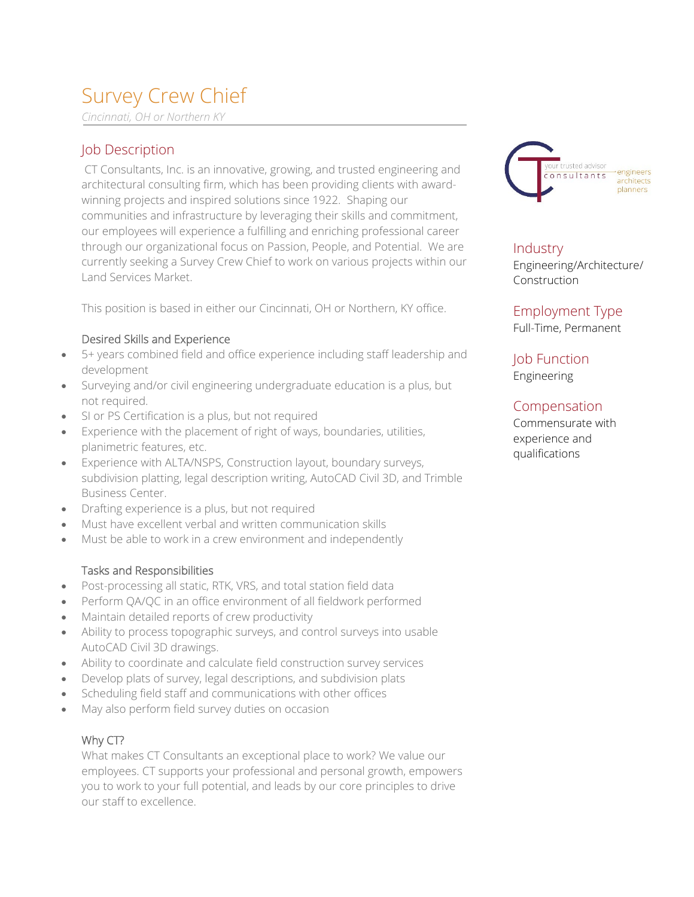# Survey Crew Chief

*Cincinnati, OH or Northern KY*

## Job Description

CT Consultants, Inc. is an innovative, growing, and trusted engineering and architectural consulting firm, which has been providing clients with awardwinning projects and inspired solutions since 1922. Shaping our communities and infrastructure by leveraging their skills and commitment, our employees will experience a fulfilling and enriching professional career through our organizational focus on Passion, People, and Potential. We are currently seeking a Survey Crew Chief to work on various projects within our Land Services Market.

This position is based in either our Cincinnati, OH or Northern, KY office.

#### Desired Skills and Experience

- 5+ years combined field and office experience including staff leadership and development
- Surveying and/or civil engineering undergraduate education is a plus, but not required.
- SI or PS Certification is a plus, but not required
- Experience with the placement of right of ways, boundaries, utilities, planimetric features, etc.
- Experience with ALTA/NSPS, Construction layout, boundary surveys, subdivision platting, legal description writing, AutoCAD Civil 3D, and Trimble Business Center.
- Drafting experience is a plus, but not required
- Must have excellent verbal and written communication skills
- Must be able to work in a crew environment and independently

#### Tasks and Responsibilities

- Post-processing all static, RTK, VRS, and total station field data
- Perform QA/QC in an office environment of all fieldwork performed
- Maintain detailed reports of crew productivity
- Ability to process topographic surveys, and control surveys into usable AutoCAD Civil 3D drawings.
- Ability to coordinate and calculate field construction survey services
- Develop plats of survey, legal descriptions, and subdivision plats
- Scheduling field staff and communications with other offices
- May also perform field survey duties on occasion

### Why CT?

What makes CT Consultants an exceptional place to work? We value our employees. CT supports your professional and personal growth, empowers you to work to your full potential, and leads by our core principles to drive our staff to excellence.



**Industry** Engineering/Architecture/ Construction

Employment Type Full-Time, Permanent

Job Function Engineering

### Compensation

Commensurate with experience and qualifications